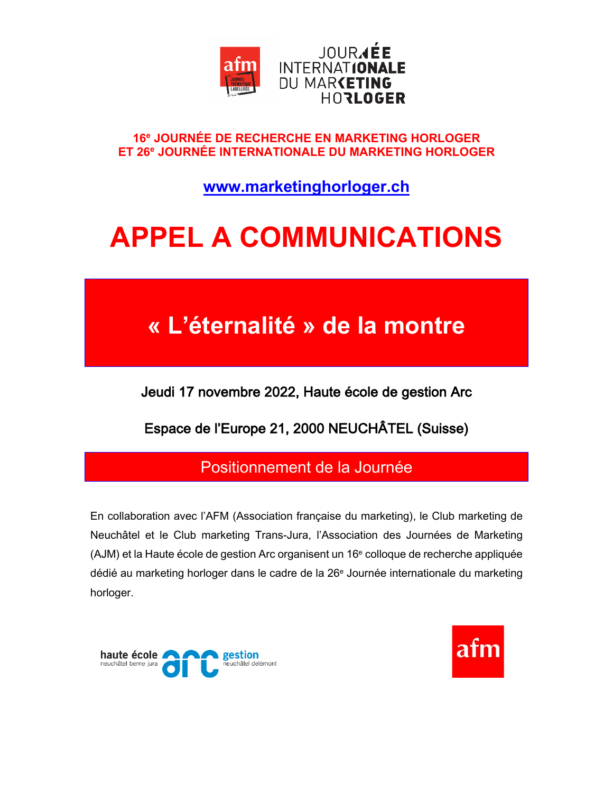

#### 16<sup>e</sup> JOURNÉE DE RECHERCHE EN MARKETING HORLOGER ET 26<sup>e</sup> JOURNÉE INTERNATIONALE DU MARKETING HORLOGER

www.marketinghorloger.ch

# **APPEL A COMMUNICATIONS**

## « L'éternalité » de la montre

Jeudi 17 novembre 2022, Haute école de gestion Arc

Espace de l'Europe 21, 2000 NEUCHÂTEL (Suisse)

### Positionnement de la Journée

En collaboration avec l'AFM (Association française du marketing), le Club marketing de Neuchâtel et le Club marketing Trans-Jura, l'Association des Journées de Marketing (AJM) et la Haute école de gestion Arc organisent un 16<sup>e</sup> colloque de recherche appliquée dédié au marketing horloger dans le cadre de la 26<sup>e</sup> Journée internationale du marketing horloger.



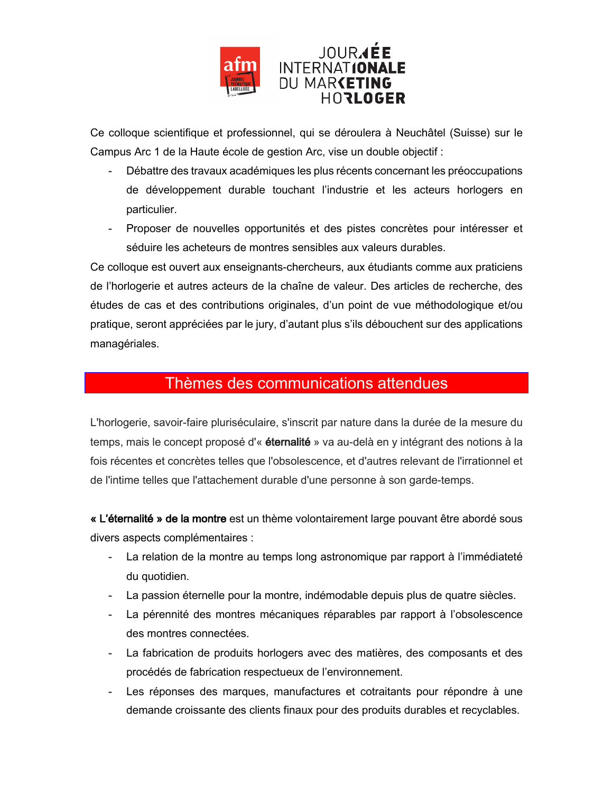

Ce colloque scientifique et professionnel, qui se déroulera à Neuchâtel (Suisse) sur le Campus Arc 1 de la Haute école de gestion Arc, vise un double objectif :

- Débattre des travaux académiques les plus récents concernant les préoccupations  $\sim 10^{-1}$ de développement durable touchant l'industrie et les acteurs horlogers en particulier.
- Proposer de nouvelles opportunités et des pistes concrètes pour intéresser et  $\omega_{\rm{max}}$ séduire les acheteurs de montres sensibles aux valeurs durables.

Ce colloque est ouvert aux enseignants-chercheurs, aux étudiants comme aux praticiens de l'horlogerie et autres acteurs de la chaîne de valeur. Des articles de recherche, des études de cas et des contributions originales, d'un point de vue méthodologique et/ou pratique, seront appréciées par le jury, d'autant plus s'ils débouchent sur des applications managériales.

### Thèmes des communications attendues

L'horlogerie, savoir-faire pluriséculaire, s'inscrit par nature dans la durée de la mesure du temps, mais le concept proposé d'« éternalité » va au-delà en y intégrant des notions à la fois récentes et concrètes telles que l'obsolescence, et d'autres relevant de l'irrationnel et de l'intime telles que l'attachement durable d'une personne à son garde-temps.

« L'éternalité » de la montre est un thème volontairement large pouvant être abordé sous divers aspects complémentaires :

- La relation de la montre au temps long astronomique par rapport à l'immédiateté du quotidien.
- La passion éternelle pour la montre, indémodable depuis plus de quatre siècles.
- La pérennité des montres mécaniques réparables par rapport à l'obsolescence des montres connectées.
- La fabrication de produits horlogers avec des matières, des composants et des procédés de fabrication respectueux de l'environnement.
- Les réponses des marques, manufactures et cotraitants pour répondre à une  $\omega_{\rm{max}}$ demande croissante des clients finaux pour des produits durables et recyclables.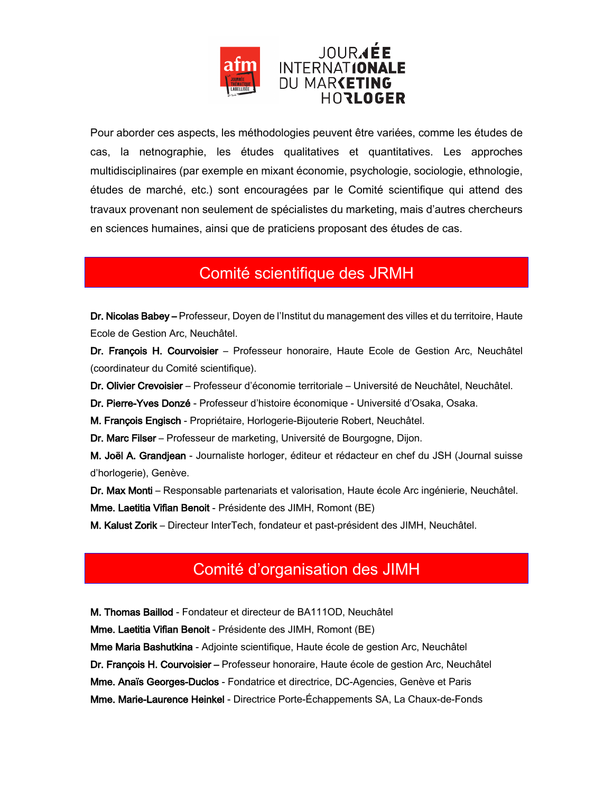

Pour aborder ces aspects, les méthodologies peuvent être variées, comme les études de cas, la netnographie, les études qualitatives et quantitatives. Les approches multidisciplinaires (par exemple en mixant économie, psychologie, sociologie, ethnologie, études de marché, etc.) sont encouragées par le Comité scientifique qui attend des travaux provenant non seulement de spécialistes du marketing, mais d'autres chercheurs en sciences humaines, ainsi que de praticiens proposant des études de cas.

### Comité scientifique des JRMH

Dr. Nicolas Babey - Professeur, Doyen de l'Institut du management des villes et du territoire, Haute Ecole de Gestion Arc, Neuchâtel.

Dr. François H. Courvoisier - Professeur honoraire, Haute Ecole de Gestion Arc, Neuchâtel (coordinateur du Comité scientifique).

Dr. Olivier Crevoisier - Professeur d'économie territoriale - Université de Neuchâtel, Neuchâtel.

Dr. Pierre-Yves Donzé - Professeur d'histoire économique - Université d'Osaka, Osaka.

M. François Engisch - Propriétaire, Horlogerie-Bijouterie Robert, Neuchâtel.

Dr. Marc Filser – Professeur de marketing, Université de Bourgogne, Dijon.

M. Joël A. Grandjean - Journaliste horloger, éditeur et rédacteur en chef du JSH (Journal suisse d'horlogerie), Genève.

Dr. Max Monti - Responsable partenariats et valorisation, Haute école Arc ingénierie, Neuchâtel. Mme. Laetitia Vifian Benoit - Présidente des JIMH, Romont (BE)

M. Kalust Zorik – Directeur InterTech, fondateur et past-président des JIMH, Neuchâtel.

### Comité d'organisation des JIMH

M. Thomas Baillod - Fondateur et directeur de BA111OD, Neuchâtel

Mme. Laetitia Vifian Benoit - Présidente des JIMH, Romont (BE)

Mme Maria Bashutkina - Adjointe scientifique, Haute école de gestion Arc, Neuchâtel

Dr. François H. Courvoisier - Professeur honoraire, Haute école de gestion Arc, Neuchâtel

Mme. Anaïs Georges-Duclos - Fondatrice et directrice, DC-Agencies, Genève et Paris

Mme. Marie-Laurence Heinkel - Directrice Porte-Échappements SA, La Chaux-de-Fonds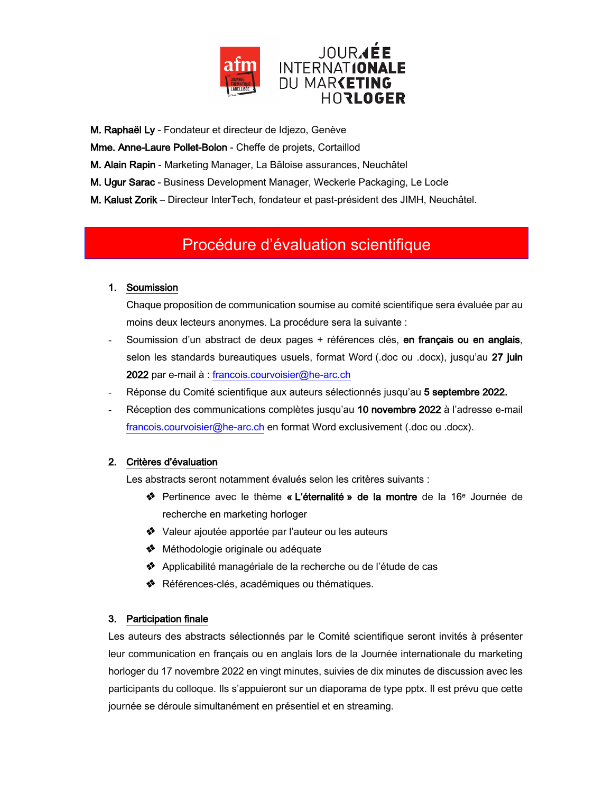

M. Raphaël Ly - Fondateur et directeur de Idjezo, Genève

Mme. Anne-Laure Pollet-Bolon - Cheffe de projets, Cortaillod

M. Alain Rapin - Marketing Manager, La Bâloise assurances, Neuchâtel

M. Ugur Sarac - Business Development Manager, Weckerle Packaging, Le Locle

M. Kalust Zorik - Directeur InterTech, fondateur et past-président des JIMH, Neuchâtel.

### Procédure d'évaluation scientifique

#### 1. Soumission

Chaque proposition de communication soumise au comité scientifique sera évaluée par au moins deux lecteurs anonymes. La procédure sera la suivante :

- Soumission d'un abstract de deux pages + références clés, en français ou en anglais, selon les standards bureautiques usuels, format Word (.doc ou .docx), jusqu'au 27 juin 2022 par e-mail à : francois.courvoisier@he-arc.ch
- Réponse du Comité scientifique aux auteurs sélectionnés jusqu'au 5 septembre 2022.
- Réception des communications complètes jusqu'au 10 novembre 2022 à l'adresse e-mail francois.courvoisier@he-arc.ch en format Word exclusivement (.doc ou .docx).

#### 2. Critères d'évaluation

Les abstracts seront notamment évalués selon les critères suivants :

- \* Pertinence avec le thème « L'éternalité » de la montre de la 16<sup>e</sup> Journée de recherche en marketing horloger
- \* Valeur ajoutée apportée par l'auteur ou les auteurs
- ◆ Méthodologie originale ou adéquate
- ◆ Applicabilité managériale de la recherche ou de l'étude de cas
- \* Références-clés, académiques ou thématiques.

#### 3. Participation finale

Les auteurs des abstracts sélectionnés par le Comité scientifique seront invités à présenter leur communication en français ou en anglais lors de la Journée internationale du marketing horloger du 17 novembre 2022 en vingt minutes, suivies de dix minutes de discussion avec les participants du colloque. Ils s'appuieront sur un diaporama de type pptx. Il est prévu que cette journée se déroule simultanément en présentiel et en streaming.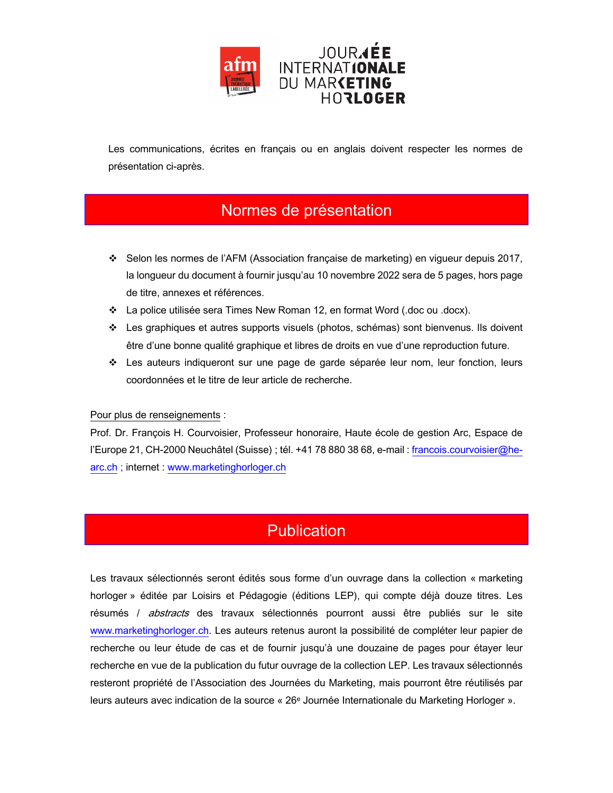

Les communications, écrites en français ou en anglais doivent respecter les normes de présentation ci-après.

### Normes de présentation

- ❖ Selon les normes de l'AFM (Association française de marketing) en vigueur depuis 2017, la longueur du document à fournir jusqu'au 10 novembre 2022 sera de 5 pages, hors page de titre, annexes et références.
- ❖ La police utilisée sera Times New Roman 12, en format Word (.doc ou .docx).
- \* Les graphiques et autres supports visuels (photos, schémas) sont bienvenus. Ils doivent être d'une bonne qualité graphique et libres de droits en vue d'une reproduction future.
- \* Les auteurs indiqueront sur une page de garde séparée leur nom, leur fonction, leurs coordonnées et le titre de leur article de recherche.

#### Pour plus de renseignements :

Prof. Dr. François H. Courvoisier, Professeur honoraire, Haute école de gestion Arc, Espace de l'Europe 21, CH-2000 Neuchâtel (Suisse) ; tél. +41 78 880 38 68, e-mail : francois.courvoisier@hearc.ch; internet: www.marketinghorloger.ch

### **Publication**

Les travaux sélectionnés seront édités sous forme d'un ouvrage dans la collection « marketing horloger » éditée par Loisirs et Pédagogie (éditions LEP), qui compte déjà douze titres. Les résumés / *abstracts* des travaux sélectionnés pourront aussi être publiés sur le site www.marketinghorloger.ch. Les auteurs retenus auront la possibilité de compléter leur papier de recherche ou leur étude de cas et de fournir jusqu'à une douzaine de pages pour étayer leur recherche en vue de la publication du futur ouvrage de la collection LEP. Les travaux sélectionnés resteront propriété de l'Association des Journées du Marketing, mais pourront être réutilisés par leurs auteurs avec indication de la source « 26<sup>e</sup> Journée Internationale du Marketing Horloger ».